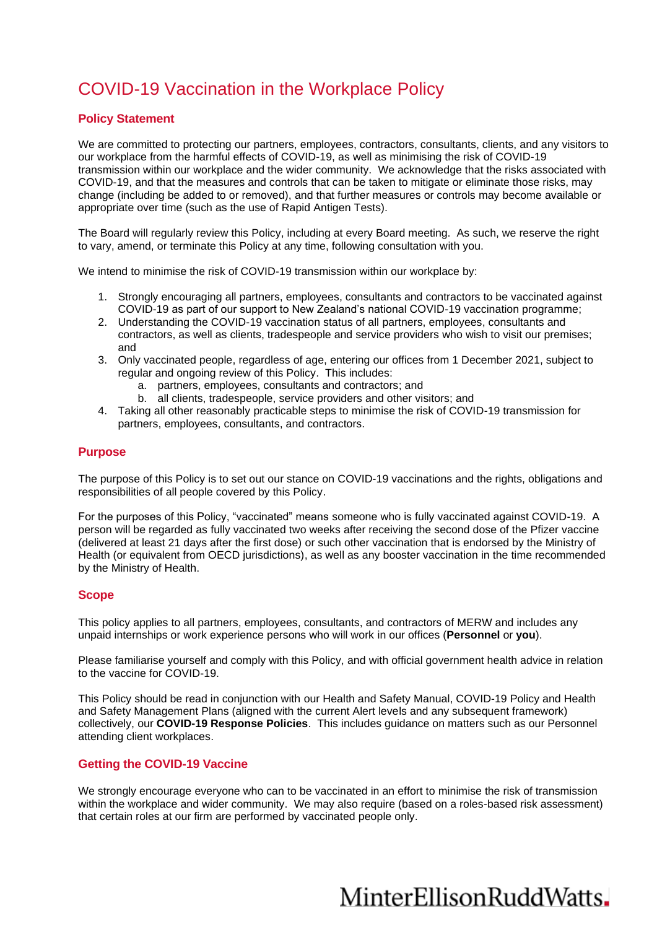# COVID-19 Vaccination in the Workplace Policy

## **Policy Statement**

We are committed to protecting our partners, employees, contractors, consultants, clients, and any visitors to our workplace from the harmful effects of COVID-19, as well as minimising the risk of COVID-19 transmission within our workplace and the wider community. We acknowledge that the risks associated with COVID-19, and that the measures and controls that can be taken to mitigate or eliminate those risks, may change (including be added to or removed), and that further measures or controls may become available or appropriate over time (such as the use of Rapid Antigen Tests).

The Board will regularly review this Policy, including at every Board meeting. As such, we reserve the right to vary, amend, or terminate this Policy at any time, following consultation with you.

We intend to minimise the risk of COVID-19 transmission within our workplace by:

- 1. Strongly encouraging all partners, employees, consultants and contractors to be vaccinated against COVID-19 as part of our support to New Zealand's national COVID-19 vaccination programme;
- 2. Understanding the COVID-19 vaccination status of all partners, employees, consultants and contractors, as well as clients, tradespeople and service providers who wish to visit our premises; and
- 3. Only vaccinated people, regardless of age, entering our offices from 1 December 2021, subject to regular and ongoing review of this Policy. This includes:
	- a. partners, employees, consultants and contractors; and
	- b. all clients, tradespeople, service providers and other visitors; and
- 4. Taking all other reasonably practicable steps to minimise the risk of COVID-19 transmission for partners, employees, consultants, and contractors.

#### **Purpose**

The purpose of this Policy is to set out our stance on COVID-19 vaccinations and the rights, obligations and responsibilities of all people covered by this Policy.

For the purposes of this Policy, "vaccinated" means someone who is fully vaccinated against COVID-19. A person will be regarded as fully vaccinated two weeks after receiving the second dose of the Pfizer vaccine (delivered at least 21 days after the first dose) or such other vaccination that is endorsed by the Ministry of Health (or equivalent from OECD jurisdictions), as well as any booster vaccination in the time recommended by the Ministry of Health.

#### **Scope**

This policy applies to all partners, employees, consultants, and contractors of MERW and includes any unpaid internships or work experience persons who will work in our offices (**Personnel** or **you**).

Please familiarise yourself and comply with this Policy, and with official government health advice in relation to the vaccine for COVID-19.

This Policy should be read in conjunction with our Health and Safety Manual, COVID-19 Policy and Health and Safety Management Plans (aligned with the current Alert levels and any subsequent framework) collectively, our **COVID-19 Response Policies**. This includes guidance on matters such as our Personnel attending client workplaces.

### **Getting the COVID-19 Vaccine**

We strongly encourage everyone who can to be vaccinated in an effort to minimise the risk of transmission within the workplace and wider community. We may also require (based on a roles-based risk assessment) that certain roles at our firm are performed by vaccinated people only.

# MinterEllisonRuddWatts.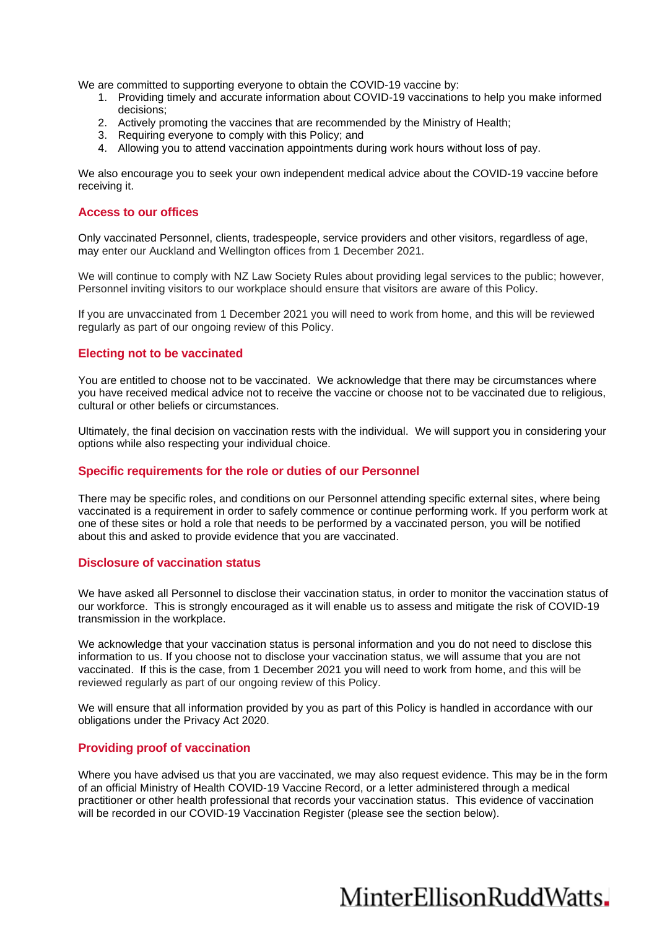We are committed to supporting everyone to obtain the COVID-19 vaccine by:

- 1. Providing timely and accurate information about COVID-19 vaccinations to help you make informed decisions;
- 2. Actively promoting the vaccines that are recommended by the Ministry of Health;
- 3. Requiring everyone to comply with this Policy; and
- 4. Allowing you to attend vaccination appointments during work hours without loss of pay.

We also encourage you to seek your own independent medical advice about the COVID-19 vaccine before receiving it.

#### **Access to our offices**

Only vaccinated Personnel, clients, tradespeople, service providers and other visitors, regardless of age, may enter our Auckland and Wellington offices from 1 December 2021.

We will continue to comply with NZ Law Society Rules about providing legal services to the public; however, Personnel inviting visitors to our workplace should ensure that visitors are aware of this Policy.

If you are unvaccinated from 1 December 2021 you will need to work from home, and this will be reviewed regularly as part of our ongoing review of this Policy.

#### **Electing not to be vaccinated**

You are entitled to choose not to be vaccinated. We acknowledge that there may be circumstances where you have received medical advice not to receive the vaccine or choose not to be vaccinated due to religious, cultural or other beliefs or circumstances.

Ultimately, the final decision on vaccination rests with the individual. We will support you in considering your options while also respecting your individual choice.

#### **Specific requirements for the role or duties of our Personnel**

There may be specific roles, and conditions on our Personnel attending specific external sites, where being vaccinated is a requirement in order to safely commence or continue performing work. If you perform work at one of these sites or hold a role that needs to be performed by a vaccinated person, you will be notified about this and asked to provide evidence that you are vaccinated.

#### **Disclosure of vaccination status**

We have asked all Personnel to disclose their vaccination status, in order to monitor the vaccination status of our workforce. This is strongly encouraged as it will enable us to assess and mitigate the risk of COVID-19 transmission in the workplace.

We acknowledge that your vaccination status is personal information and you do not need to disclose this information to us. If you choose not to disclose your vaccination status, we will assume that you are not vaccinated. If this is the case, from 1 December 2021 you will need to work from home, and this will be reviewed regularly as part of our ongoing review of this Policy.

We will ensure that all information provided by you as part of this Policy is handled in accordance with our obligations under the Privacy Act 2020.

#### **Providing proof of vaccination**

Where you have advised us that you are vaccinated, we may also request evidence. This may be in the form of an official Ministry of Health COVID-19 Vaccine Record, or a letter administered through a medical practitioner or other health professional that records your vaccination status. This evidence of vaccination will be recorded in our COVID-19 Vaccination Register (please see the section below).

# MinterEllisonRuddWatts.